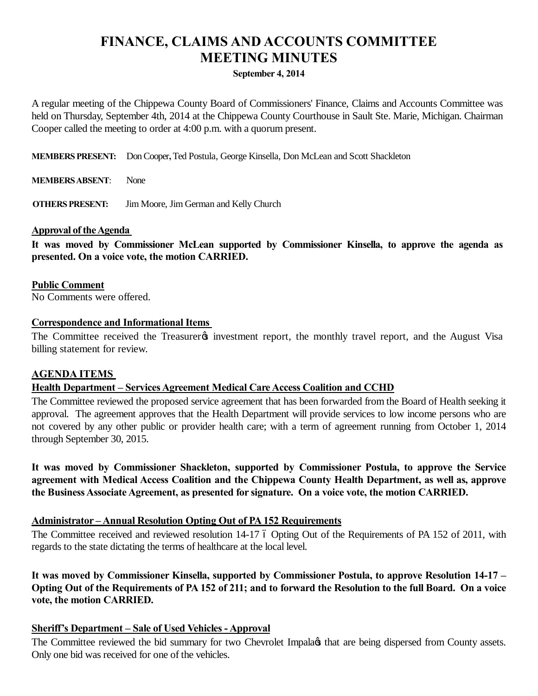# **FINANCE, CLAIMS AND ACCOUNTS COMMITTEE MEETING MINUTES**

## **September 4, 2014**

A regular meeting of the Chippewa County Board of Commissioners' Finance, Claims and Accounts Committee was held on Thursday, September 4th, 2014 at the Chippewa County Courthouse in Sault Ste. Marie, Michigan. Chairman Cooper called the meeting to order at 4:00 p.m. with a quorum present.

**MEMBERS PRESENT:** Don Cooper**,** Ted Postula, George Kinsella, Don McLean and Scott Shackleton

**MEMBERS ABSENT**: None

**OTHERS PRESENT:** Jim Moore, Jim German and Kelly Church

## **Approval of the Agenda**

**It was moved by Commissioner McLean supported by Commissioner Kinsella, to approve the agenda as presented. On a voice vote, the motion CARRIED.**

**Public Comment**

No Comments were offered.

## **Correspondence and Informational Items**

The Committee received the Treasurer<sub>®</sub> investment report, the monthly travel report, and the August Visa billing statement for review.

# **AGENDA ITEMS**

# **Health Department – Services Agreement Medical Care Access Coalition and CCHD**

The Committee reviewed the proposed service agreement that has been forwarded from the Board of Health seeking it approval. The agreement approves that the Health Department will provide services to low income persons who are not covered by any other public or provider health care; with a term of agreement running from October 1, 2014 through September 30, 2015.

**It was moved by Commissioner Shackleton, supported by Commissioner Postula, to approve the Service agreement with Medical Access Coalition and the Chippewa County Health Department, as well as, approve the Business Associate Agreement, as presented for signature. On a voice vote, the motion CARRIED.**

# **Administrator – Annual Resolution Opting Out of PA 152 Requirements**

The Committee received and reviewed resolution 14-17 6 Opting Out of the Requirements of PA 152 of 2011, with regards to the state dictating the terms of healthcare at the local level.

**It was moved by Commissioner Kinsella, supported by Commissioner Postula, to approve Resolution 14-17 – Opting Out of the Requirements of PA 152 of 211; and to forward the Resolution to the full Board. On a voice vote, the motion CARRIED.**

# **Sheriff's Department – Sale of Used Vehicles - Approval**

The Committee reviewed the bid summary for two Chevrolet Impala $\alpha$  that are being dispersed from County assets. Only one bid was received for one of the vehicles.